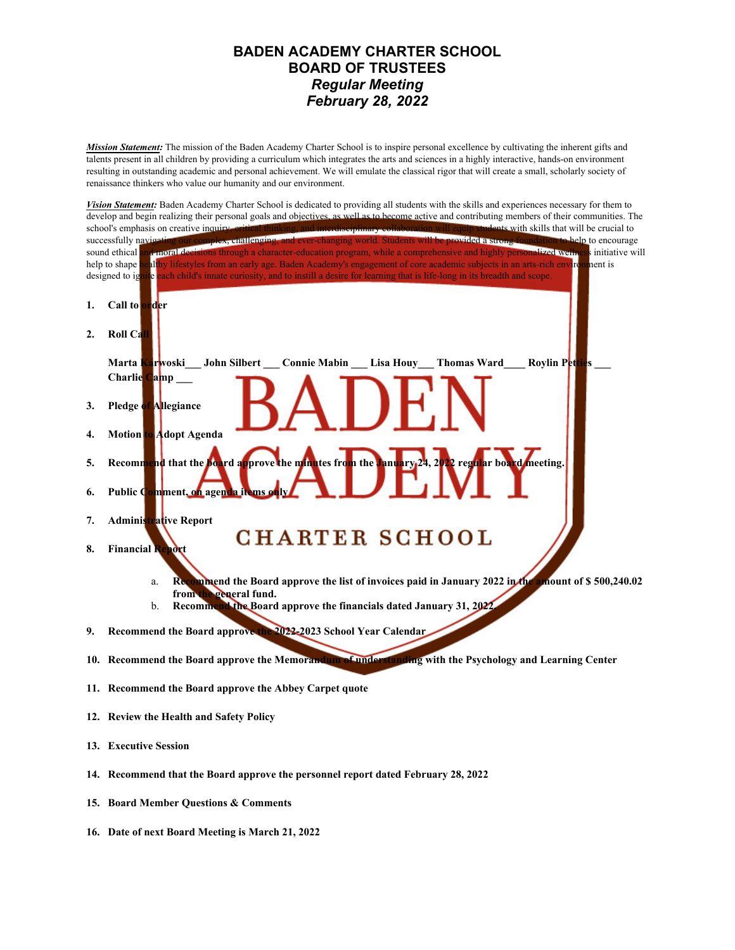## **BADEN ACADEMY CHARTER SCHOOL BOARD OF TRUSTEES** *Regular Meeting February 28, 2022*

*Mission Statement:* The mission of the Baden Academy Charter School is to inspire personal excellence by cultivating the inherent gifts and talents present in all children by providing a curriculum which integrates the arts and sciences in a highly interactive, hands-on environment resulting in outstanding academic and personal achievement. We will emulate the classical rigor that will create a small, scholarly society of renaissance thinkers who value our humanity and our environment.



- **13. Executive Session**
- **14. Recommend that the Board approve the personnel report dated February 28, 2022**
- **15. Board Member Questions & Comments**
- **16. Date of next Board Meeting is March 21, 2022**